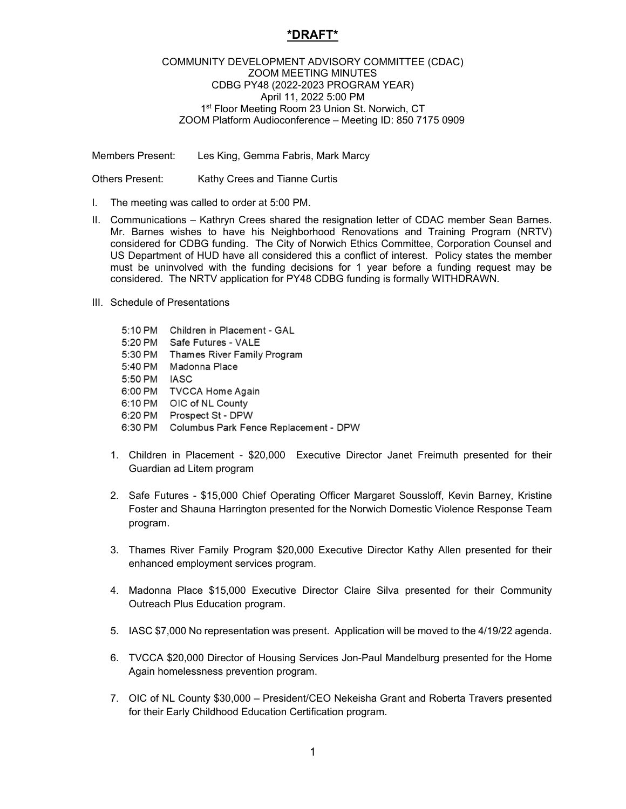## **\*DRAFT\***

## COMMUNITY DEVELOPMENT ADVISORY COMMITTEE (CDAC) ZOOM MEETING MINUTES CDBG PY48 (2022-2023 PROGRAM YEAR) April 11, 2022 5:00 PM 1<sup>st</sup> Floor Meeting Room 23 Union St. Norwich, CT ZOOM Platform Audioconference – Meeting ID: 850 7175 0909

Members Present: Les King, Gemma Fabris, Mark Marcy

Others Present: Kathy Crees and Tianne Curtis

- I. The meeting was called to order at 5:00 PM.
- II. Communications Kathryn Crees shared the resignation letter of CDAC member Sean Barnes. Mr. Barnes wishes to have his Neighborhood Renovations and Training Program (NRTV) considered for CDBG funding. The City of Norwich Ethics Committee, Corporation Counsel and US Department of HUD have all considered this a conflict of interest. Policy states the member must be uninvolved with the funding decisions for 1 year before a funding request may be considered. The NRTV application for PY48 CDBG funding is formally WITHDRAWN.
- III. Schedule of Presentations

| 5:10 PM | Children in Placement - GAL           |
|---------|---------------------------------------|
| 5:20 PM | Safe Futures - VALE                   |
| 5:30 PM | Thames River Family Program           |
| 5:40 PM | Madonna Place                         |
| 5:50 PM | <b>IASC</b>                           |
| 6:00 PM | <b>TVCCA Home Again</b>               |
| 6:10 PM | OIC of NL County                      |
| 6:20 PM | Prospect St - DPW                     |
| 6:30 PM | Columbus Park Fence Replacement - DPW |

- 1. Children in Placement \$20,000 Executive Director Janet Freimuth presented for their Guardian ad Litem program
- 2. Safe Futures \$15,000 Chief Operating Officer Margaret Soussloff, Kevin Barney, Kristine Foster and Shauna Harrington presented for the Norwich Domestic Violence Response Team program.
- 3. Thames River Family Program \$20,000 Executive Director Kathy Allen presented for their enhanced employment services program.
- 4. Madonna Place \$15,000 Executive Director Claire Silva presented for their Community Outreach Plus Education program.
- 5. IASC \$7,000 No representation was present. Application will be moved to the 4/19/22 agenda.
- 6. TVCCA \$20,000 Director of Housing Services Jon-Paul Mandelburg presented for the Home Again homelessness prevention program.
- 7. OIC of NL County \$30,000 President/CEO Nekeisha Grant and Roberta Travers presented for their Early Childhood Education Certification program.